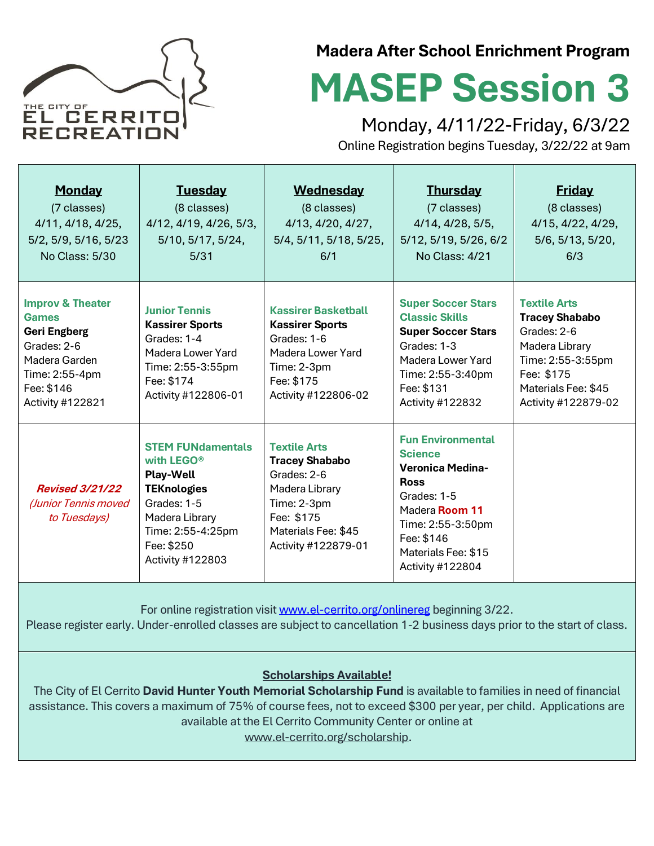

### **Madera After School Enrichment Program**

# **MASEP Session 3**

Monday, 4/11/22-Friday, 6/3/22

Online Registration begins Tuesday, 3/22/22 at 9am

| <b>Monday</b><br>(7 classes)<br>4/11, 4/18, 4/25,<br>5/2, 5/9, 5/16, 5/23<br>No Class: 5/30                                                                                                            | <b>Tuesday</b><br>(8 classes)<br>4/12, 4/19, 4/26, 5/3,<br>5/10, 5/17, 5/24,<br>5/31                                                                                                 | <b>Wednesday</b><br>(8 classes)<br>4/13, 4/20, 4/27,<br>5/4, 5/11, 5/18, 5/25,<br>6/1                                                                    | <b>Thursday</b><br>(7 classes)<br>4/14, 4/28, 5/5,<br>5/12, 5/19, 5/26, 6/2<br>No Class: 4/21                                                                                                       | <b>Friday</b><br>(8 classes)<br>4/15, 4/22, 4/29,<br>5/6, 5/13, 5/20,<br>6/3                                                                                   |
|--------------------------------------------------------------------------------------------------------------------------------------------------------------------------------------------------------|--------------------------------------------------------------------------------------------------------------------------------------------------------------------------------------|----------------------------------------------------------------------------------------------------------------------------------------------------------|-----------------------------------------------------------------------------------------------------------------------------------------------------------------------------------------------------|----------------------------------------------------------------------------------------------------------------------------------------------------------------|
| <b>Improv &amp; Theater</b><br>Games<br><b>Geri Engberg</b><br>Grades: 2-6<br>Madera Garden<br>Time: 2:55-4pm<br>Fee: \$146<br>Activity #122821                                                        | <b>Junior Tennis</b><br><b>Kassirer Sports</b><br>Grades: 1-4<br>Madera Lower Yard<br>Time: 2:55-3:55pm<br>Fee: \$174<br>Activity #122806-01                                         | <b>Kassirer Basketball</b><br><b>Kassirer Sports</b><br>Grades: 1-6<br>Madera Lower Yard<br>Time: 2-3pm<br>Fee: \$175<br>Activity #122806-02             | <b>Super Soccer Stars</b><br><b>Classic Skills</b><br><b>Super Soccer Stars</b><br>Grades: 1-3<br>Madera Lower Yard<br>Time: 2:55-3:40pm<br>Fee: \$131<br>Activity #122832                          | <b>Textile Arts</b><br><b>Tracey Shababo</b><br>Grades: 2-6<br>Madera Library<br>Time: 2:55-3:55pm<br>Fee: \$175<br>Materials Fee: \$45<br>Activity #122879-02 |
| <b>Revised 3/21/22</b><br>(Junior Tennis moved<br>to Tuesdays)                                                                                                                                         | <b>STEM FUNdamentals</b><br>with LEGO <sup>®</sup><br><b>Play-Well</b><br><b>TEKnologies</b><br>Grades: 1-5<br>Madera Library<br>Time: 2:55-4:25pm<br>Fee: \$250<br>Activity #122803 | <b>Textile Arts</b><br><b>Tracey Shababo</b><br>Grades: 2-6<br>Madera Library<br>Time: 2-3pm<br>Fee: \$175<br>Materials Fee: \$45<br>Activity #122879-01 | <b>Fun Environmental</b><br><b>Science</b><br><b>Veronica Medina-</b><br><b>Ross</b><br>Grades: 1-5<br>Madera Room 11<br>Time: 2:55-3:50pm<br>Fee: \$146<br>Materials Fee: \$15<br>Activity #122804 |                                                                                                                                                                |
| For online registration visit www.el-cerrito.org/onlinereg beginning 3/22.<br>Please register early. Under-enrolled classes are subject to cancellation 1-2 business days prior to the start of class. |                                                                                                                                                                                      |                                                                                                                                                          |                                                                                                                                                                                                     |                                                                                                                                                                |

#### **Scholarships Available!**

The City of El Cerrito **David Hunter Youth Memorial Scholarship Fund** is available to families in need of financial assistance. This covers a maximum of 75% of course fees, not to exceed \$300 per year, per child. Applications are available at the El Cerrito Community Center or online at [www.el-cerrito.org/scholarship.](http://www.el-cerrito.org/scholarship)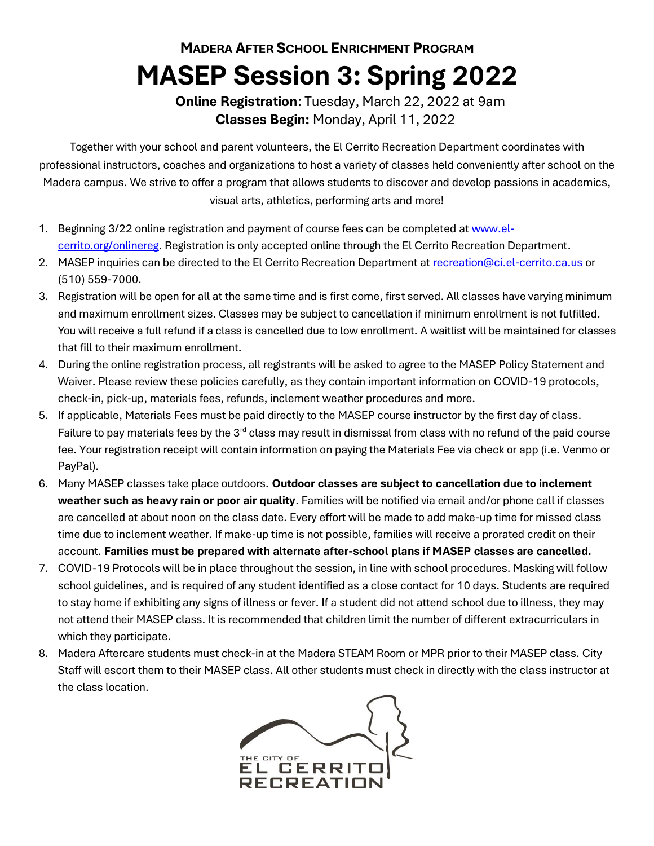## **MADERA AFTER SCHOOL ENRICHMENT PROGRAM MASEP Session 3: Spring 2022**

### **Online Registration**: Tuesday, March 22, 2022 at 9am  **Classes Begin:** Monday, April 11, 2022

Together with your school and parent volunteers, the El Cerrito Recreation Department coordinates with professional instructors, coaches and organizations to host a variety of classes held conveniently after school on the Madera campus. We strive to offer a program that allows students to discover and develop passions in academics, visual arts, athletics, performing arts and more!

- 1. Beginning 3/22 online registration and payment of course fees can be completed a[t www.el](http://www.el-cerrito.org/onlinereg)[cerrito.org/onlinereg.](http://www.el-cerrito.org/onlinereg) Registration is only accepted online through the El Cerrito Recreation Department.
- 2. MASEP inquiries can be directed to the El Cerrito Recreation Department at [recreation@ci.el-cerrito.ca.us](mailto:recreation@ci.el-cerrito.ca.us) or (510) 559-7000.
- 3. Registration will be open for all at the same time and is first come, first served. All classes have varying minimum and maximum enrollment sizes. Classes may be subject to cancellation if minimum enrollment is not fulfilled. You will receive a full refund if a class is cancelled due to low enrollment. A waitlist will be maintained for classes that fill to their maximum enrollment.
- 4. During the online registration process, all registrants will be asked to agree to the MASEP Policy Statement and Waiver. Please review these policies carefully, as they contain important information on COVID-19 protocols, check-in, pick-up, materials fees, refunds, inclement weather procedures and more.
- 5. If applicable, Materials Fees must be paid directly to the MASEP course instructor by the first day of class. Failure to pay materials fees by the  $3<sup>rd</sup>$  class may result in dismissal from class with no refund of the paid course fee. Your registration receipt will contain information on paying the Materials Fee via check or app (i.e. Venmo or PayPal).
- 6. Many MASEP classes take place outdoors. **Outdoor classes are subject to cancellation due to inclement weather such as heavy rain or poor air quality**. Families will be notified via email and/or phone call if classes are cancelled at about noon on the class date. Every effort will be made to add make-up time for missed class time due to inclement weather. If make-up time is not possible, families will receive a prorated credit on their account. **Families must be prepared with alternate after-school plans if MASEP classes are cancelled.**
- 7. COVID-19 Protocols will be in place throughout the session, in line with school procedures. Masking will follow school guidelines, and is required of any student identified as a close contact for 10 days. Students are required to stay home if exhibiting any signs of illness or fever. If a student did not attend school due to illness, they may not attend their MASEP class. It is recommended that children limit the number of different extracurriculars in which they participate.
- 8. Madera Aftercare students must check-in at the Madera STEAM Room or MPR prior to their MASEP class. City Staff will escort them to their MASEP class. All other students must check in directly with the class instructor at the class location.

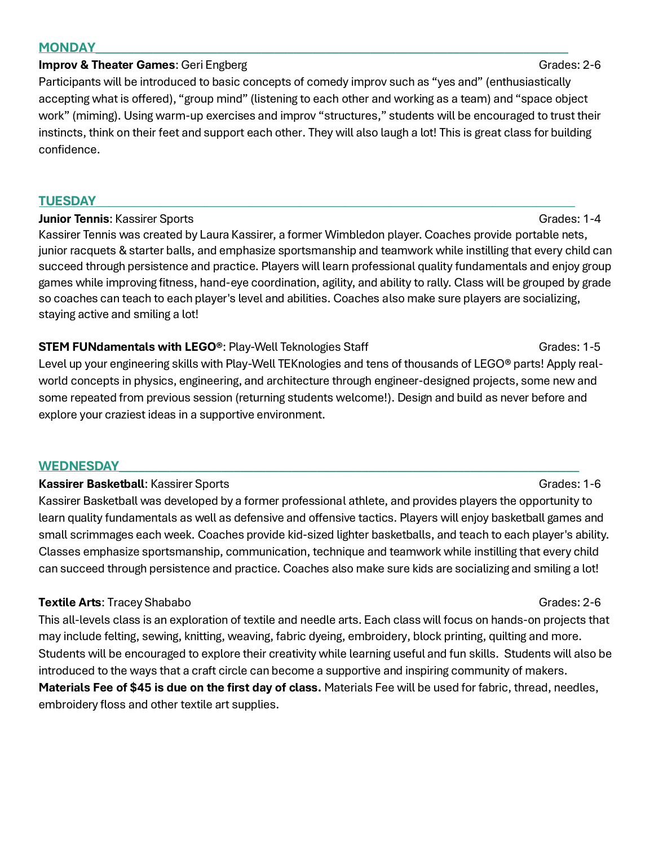#### **MONDAY\_\_\_\_\_\_\_\_\_\_\_\_\_\_\_\_\_\_\_\_\_\_\_\_\_\_\_\_\_\_\_\_\_\_\_\_\_\_\_\_\_\_\_\_\_\_\_\_\_\_\_\_\_\_\_\_\_\_\_\_\_\_\_\_\_\_\_\_\_\_\_\_\_\_**

#### **Improv & Theater Games:** Geri Engberg Grades: 2-6

Participants will be introduced to basic concepts of comedy improv such as "yes and" (enthusiastically accepting what is offered), "group mind" (listening to each other and working as a team) and "space object work" (miming). Using warm-up exercises and improv "structures," students will be encouraged to trust their instincts, think on their feet and support each other. They will also laugh a lot! This is great class for building confidence.

#### **TUESDAY\_\_\_\_\_\_\_\_\_\_\_\_\_\_\_\_\_\_\_\_\_\_\_\_\_\_\_\_\_\_\_\_\_\_\_\_\_\_\_\_\_\_\_\_\_\_\_\_\_\_\_\_\_\_\_\_\_\_\_\_\_\_\_\_\_\_\_\_\_\_\_\_\_\_\_**

#### **Junior Tennis:** Kassirer Sports Grades: 1-4

Kassirer Tennis was created by Laura Kassirer, a former Wimbledon player. Coaches provide portable nets, junior racquets & starter balls, and emphasize sportsmanship and teamwork while instilling that every child can succeed through persistence and practice. Players will learn professional quality fundamentals and enjoy group games while improving fitness, hand-eye coordination, agility, and ability to rally. Class will be grouped by grade so coaches can teach to each player's level and abilities. Coaches also make sure players are socializing, staying active and smiling a lot!

### **STEM FUNdamentals with LEGO<sup>®</sup>:** Play-Well Teknologies Staff Grades: 1-5

Level up your engineering skills with Play-Well TEKnologies and tens of thousands of LEGO® parts! Apply realworld concepts in physics, engineering, and architecture through engineer-designed projects, some new and some repeated from previous session (returning students welcome!). Design and build as never before and explore your craziest ideas in a supportive environment.

#### **WEDNESDAY\_\_\_\_\_\_\_\_\_\_\_\_\_\_\_\_\_\_\_\_\_\_\_\_\_\_\_\_\_\_\_\_\_\_\_\_\_\_\_\_\_\_\_\_\_\_\_\_\_\_\_\_\_\_\_\_\_\_\_\_\_\_\_\_\_\_\_\_\_\_\_\_**

#### **Kassirer Basketball**: Kassirer Sports Grades: 1-6

Kassirer Basketball was developed by a former professional athlete, and provides players the opportunity to learn quality fundamentals as well as defensive and offensive tactics. Players will enjoy basketball games and small scrimmages each week. Coaches provide kid-sized lighter basketballs, and teach to each player's ability. Classes emphasize sportsmanship, communication, technique and teamwork while instilling that every child can succeed through persistence and practice. Coaches also make sure kids are socializing and smiling a lot!

### **Textile Arts**: Tracey Shababo Grades: 2-6

This all-levels class is an exploration of textile and needle arts. Each class will focus on hands-on projects that may include felting, sewing, knitting, weaving, fabric dyeing, embroidery, block printing, quilting and more. Students will be encouraged to explore their creativity while learning useful and fun skills. Students will also be introduced to the ways that a craft circle can become a supportive and inspiring community of makers. **Materials Fee of \$45 is due on the first day of class.** Materials Fee will be used for fabric, thread, needles, embroidery floss and other textile art supplies.